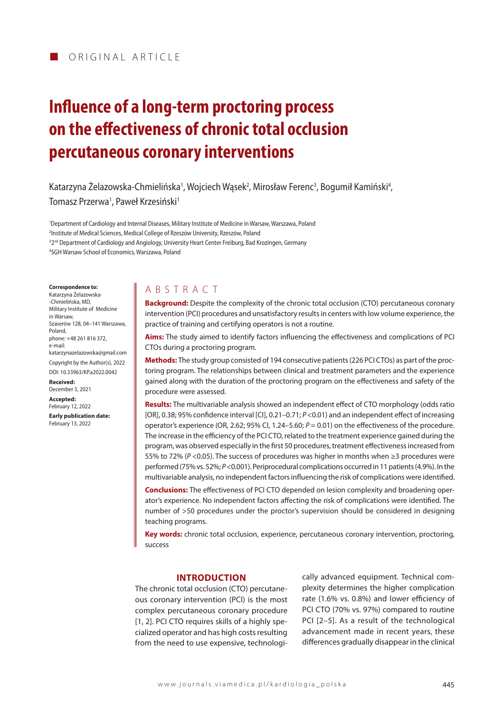# **Influence of a long-term proctoring process on the effectiveness of chronic total occlusion percutaneous coronary interventions**

Katarzyna Zelazowska-Chmielińska<sup>1</sup>, Wojciech Wąsek<sup>2</sup>, Mirosław Ferenc<sup>3</sup>, Bogumił Kamiński<sup>4</sup>,

Tomasz Przerwa<sup>1</sup>, Paweł Krzesiński<sup>1</sup>

 Department of Cardiology and Internal Diseases, Military Institute of Medicine in Warsaw, Warszawa, Poland Institute of Medical Sciences, Medical College of Rzeszów University, Rzeszów, Poland  $^{32^{\text{nd}}}$  Department of Cardiology and Angiology, University Heart Center Freiburg, Bad Krozingen, Germany SGH Warsaw School of Economics, Warszawa, Poland

**Correspondence to:**

Katarzyna Żelazowska- -Chmielińska, MD, Military Institute of Medicine in Warsaw, Szaserów 128, 04–141 Warszawa, Poland, phone: +48 261 816 372, e-mail: katarzynazelazowska@gmail.com Copyright by the Author(s), 2022

DOI: 10.33963/KP.a2022.0042 **Received:**  December 3, 2021

**Accepted:**  February 12, 2022 **Early publication date:**

February 13, 2022

## A B S TRACT

**Background:** Despite the complexity of the chronic total occlusion (CTO) percutaneous coronary intervention (PCI) procedures and unsatisfactory results in centers with low volume experience, the practice of training and certifying operators is not a routine.

**Aims:** The study aimed to identify factors influencing the effectiveness and complications of PCI CTOs during a proctoring program.

**Methods:** The study group consisted of 194 consecutive patients (226 PCI CTOs) as part of the proctoring program. The relationships between clinical and treatment parameters and the experience gained along with the duration of the proctoring program on the effectiveness and safety of the procedure were assessed.

**Results:** The multivariable analysis showed an independent effect of CTO morphology (odds ratio [OR], 0.38; 95% confidence interval [CI], 0.21–0.71; *P* <0.01) and an independent effect of increasing operator's experience (OR, 2.62; 95% CI, 1.24–5.60; *P* = 0.01) on the effectiveness of the procedure. The increase in the efficiency of the PCI CTO, related to the treatment experience gained during the program, was observed especially in the first 50 procedures, treatment effectiveness increased from 55% to 72% (*P* <0.05). The success of procedures was higher in months when ≥3 procedures were performed (75% vs. 52%; *P* <0.001). Periprocedural complications occurred in 11 patients (4.9%). In the multivariable analysis, no independent factors influencing the risk of complications were identified.

**Conclusions:** The effectiveness of PCI CTO depended on lesion complexity and broadening operator's experience. No independent factors affecting the risk of complications were identified. The number of >50 procedures under the proctor's supervision should be considered in designing teaching programs.

**Key words:** chronic total occlusion, experience, percutaneous coronary intervention, proctoring, success

## **INTRODUCTION**

The chronic total occlusion (CTO) percutaneous coronary intervention (PCI) is the most complex percutaneous coronary procedure [1, 2]. PCI CTO requires skills of a highly specialized operator and has high costs resulting from the need to use expensive, technologically advanced equipment. Technical complexity determines the higher complication rate (1.6% vs. 0.8%) and lower efficiency of PCI CTO (70% vs. 97%) compared to routine PCI [2–5]. As a result of the technological advancement made in recent years, these differences gradually disappear in the clinical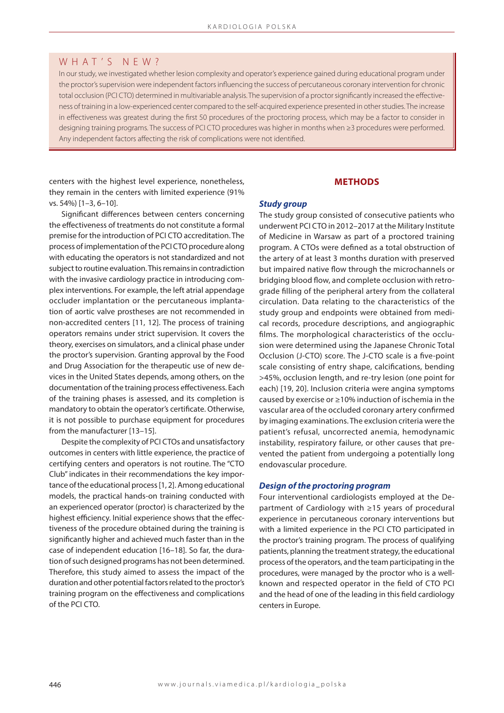## W H A T ' S N E W ?

In our study, we investigated whether lesion complexity and operator's experience gained during educational program under the proctor's supervision were independent factors influencing the success of percutaneous coronary intervention for chronic total occlusion (PCI CTO) determined in multivariable analysis. The supervision of a proctor significantly increased the effectiveness of training in a low-experienced center compared to the self-acquired experience presented in other studies. The increase in effectiveness was greatest during the first 50 procedures of the proctoring process, which may be a factor to consider in designing training programs. The success of PCI CTO procedures was higher in months when ≥3 procedures were performed. Any independent factors affecting the risk of complications were not identified.

centers with the highest level experience, nonetheless, they remain in the centers with limited experience (91% vs. 54%) [1–3, 6–10].

Significant differences between centers concerning the effectiveness of treatments do not constitute a formal premise for the introduction of PCI CTO accreditation. The process of implementation of the PCI CTO procedure along with educating the operators is not standardized and not subject to routine evaluation. This remains in contradiction with the invasive cardiology practice in introducing complex interventions. For example, the left atrial appendage occluder implantation or the percutaneous implantation of aortic valve prostheses are not recommended in non-accredited centers [11, 12]. The process of training operators remains under strict supervision. It covers the theory, exercises on simulators, and a clinical phase under the proctor's supervision. Granting approval by the Food and Drug Association for the therapeutic use of new devices in the United States depends, among others, on the documentation of the training process effectiveness. Each of the training phases is assessed, and its completion is mandatory to obtain the operator's certificate. Otherwise, it is not possible to purchase equipment for procedures from the manufacturer [13–15].

Despite the complexity of PCI CTOs and unsatisfactory outcomes in centers with little experience, the practice of certifying centers and operators is not routine. The "CTO Club" indicates in their recommendations the key importance of the educational process [1, 2]. Among educational models, the practical hands-on training conducted with an experienced operator (proctor) is characterized by the highest efficiency. Initial experience shows that the effectiveness of the procedure obtained during the training is significantly higher and achieved much faster than in the case of independent education [16–18]. So far, the duration of such designed programs has not been determined. Therefore, this study aimed to assess the impact of the duration and other potential factors related to the proctor's training program on the effectiveness and complications of the PCI CTO.

## **METHODS**

## *Study group*

The study group consisted of consecutive patients who underwent PCI CTO in 2012–2017 at the Military Institute of Medicine in Warsaw as part of a proctored training program. A CTOs were defined as a total obstruction of the artery of at least 3 months duration with preserved but impaired native flow through the microchannels or bridging blood flow, and complete occlusion with retrograde filling of the peripheral artery from the collateral circulation. Data relating to the characteristics of the study group and endpoints were obtained from medical records, procedure descriptions, and angiographic films. The morphological characteristics of the occlusion were determined using the Japanese Chronic Total Occlusion (J-CTO) score. The J-CTO scale is a five-point scale consisting of entry shape, calcifications, bending >45%, occlusion length, and re-try lesion (one point for each) [19, 20]. Inclusion criteria were angina symptoms caused by exercise or ≥10% induction of ischemia in the vascular area of the occluded coronary artery confirmed by imaging examinations. The exclusion criteria were the patient's refusal, uncorrected anemia, hemodynamic instability, respiratory failure, or other causes that prevented the patient from undergoing a potentially long endovascular procedure.

#### *Design of the proctoring program*

Four interventional cardiologists employed at the Department of Cardiology with ≥15 years of procedural experience in percutaneous coronary interventions but with a limited experience in the PCI CTO participated in the proctor's training program. The process of qualifying patients, planning the treatment strategy, the educational process of the operators, and the team participating in the procedures, were managed by the proctor who is a wellknown and respected operator in the field of CTO PCI and the head of one of the leading in this field cardiology centers in Europe.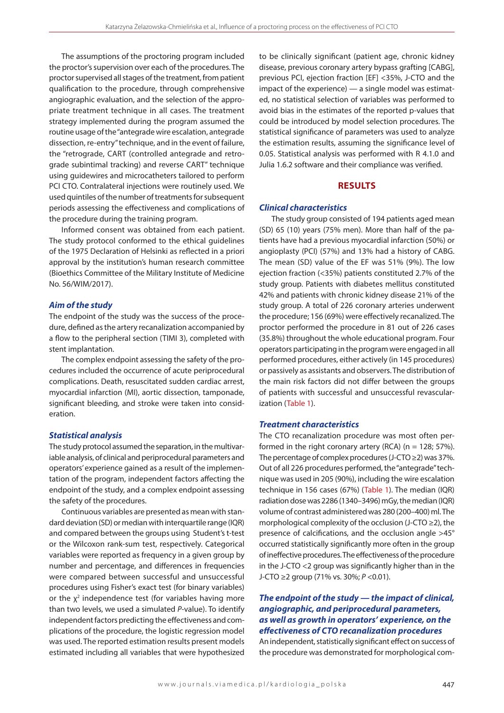The assumptions of the proctoring program included the proctor's supervision over each of the procedures. The proctor supervised all stages of the treatment, from patient qualification to the procedure, through comprehensive angiographic evaluation, and the selection of the appropriate treatment technique in all cases. The treatment strategy implemented during the program assumed the routine usage of the "antegrade wire escalation, antegrade dissection, re-entry" technique, and in the event of failure, the "retrograde, CART (controlled antegrade and retrograde subintimal tracking) and reverse CART" technique using guidewires and microcatheters tailored to perform PCI CTO. Contralateral injections were routinely used. We used quintiles of the number of treatments for subsequent periods assessing the effectiveness and complications of the procedure during the training program.

Informed consent was obtained from each patient. The study protocol conformed to the ethical guidelines of the 1975 Declaration of Helsinki as reflected in a priori approval by the institution's human research committee (Bioethics Committee of the Military Institute of Medicine No. 56/WIM/2017).

#### *Aim of the study*

The endpoint of the study was the success of the procedure, defined as the artery recanalization accompanied by a flow to the peripheral section (TIMI 3), completed with stent implantation.

The complex endpoint assessing the safety of the procedures included the occurrence of acute periprocedural complications. Death, resuscitated sudden cardiac arrest, myocardial infarction (MI), aortic dissection, tamponade, significant bleeding, and stroke were taken into consideration.

## *Statistical analysis*

The study protocol assumed the separation, in the multivariable analysis, of clinical and periprocedural parameters and operators' experience gained as a result of the implementation of the program, independent factors affecting the endpoint of the study, and a complex endpoint assessing the safety of the procedures.

Continuous variables are presented as mean with standard deviation (SD) or median with interquartile range (IQR) and compared between the groups using Student's t-test or the Wilcoxon rank-sum test, respectively. Categorical variables were reported as frequency in a given group by number and percentage, and differences in frequencies were compared between successful and unsuccessful procedures using Fisher's exact test (for binary variables) or the  $\chi^2$  independence test (for variables having more than two levels, we used a simulated *P*-value). To identify independent factors predicting the effectiveness and complications of the procedure, the logistic regression model was used. The reported estimation results present models estimated including all variables that were hypothesized

to be clinically significant (patient age, chronic kidney disease, previous coronary artery bypass grafting [CABG], previous PCI, ejection fraction [EF] <35%, J-CTO and the impact of the experience) — a single model was estimated, no statistical selection of variables was performed to avoid bias in the estimates of the reported p-values that could be introduced by model selection procedures. The statistical significance of parameters was used to analyze the estimation results, assuming the significance level of 0.05. Statistical analysis was performed with R 4.1.0 and Julia 1.6.2 software and their compliance was verified.

## **RESULTS**

#### *Clinical characteristics*

The study group consisted of 194 patients aged mean (SD) 65 (10) years (75% men). More than half of the patients have had a previous myocardial infarction (50%) or angioplasty (PCI) (57%) and 13% had a history of CABG. The mean (SD) value of the EF was 51% (9%). The low ejection fraction (<35%) patients constituted 2.7% of the study group. Patients with diabetes mellitus constituted 42% and patients with chronic kidney disease 21% of the study group. A total of 226 coronary arteries underwent the procedure; 156 (69%) were effectively recanalized. The proctor performed the procedure in 81 out of 226 cases (35.8%) throughout the whole educational program. Four operators participating in the program were engaged in all performed procedures, either actively (in 145 procedures) or passively as assistants and observers. The distribution of the main risk factors did not differ between the groups of patients with successful and unsuccessful revascularization (Table 1).

#### *Treatment characteristics*

The CTO recanalization procedure was most often performed in the right coronary artery (RCA) ( $n = 128$ ; 57%). The percentage of complex procedures (J-CTO ≥2) was 37%. Out of all 226 procedures performed, the "antegrade" technique was used in 205 (90%), including the wire escalation technique in 156 cases (67%) (Table 1). The median (IQR) radiation dose was 2286 (1340–3496) mGy, the median (IQR) volume of contrast administered was 280 (200–400) ml. The morphological complexity of the occlusion (J-CTO ≥2), the presence of calcifications, and the occlusion angle >45° occurred statistically significantly more often in the group of ineffective procedures. The effectiveness of the procedure in the J-CTO <2 group was significantly higher than in the J-CTO ≥2 group (71% vs. 30%; *P* <0.01).

## *The endpoint of the study — the impact of clinical, angiographic, and periprocedural parameters, as well as growth in operators' experience, on the effectiveness of CTO recanalization procedures*

An independent, statistically significant effect on success of the procedure was demonstrated for morphological com-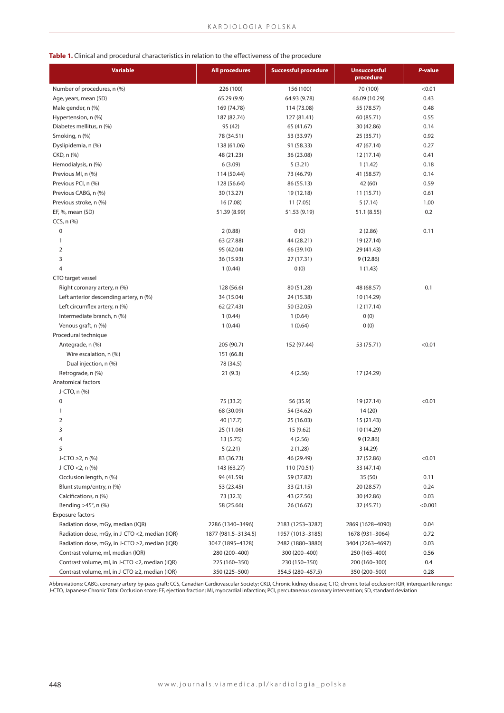## **Table 1.** Clinical and procedural characteristics in relation to the effectiveness of the procedure

| <b>Variable</b>                                      | <b>All procedures</b> | <b>Successful procedure</b> | <b>Unsuccessful</b><br>procedure | P-value |
|------------------------------------------------------|-----------------------|-----------------------------|----------------------------------|---------|
| Number of procedures, n (%)                          | 226 (100)             | 156 (100)                   | 70 (100)                         | < 0.01  |
| Age, years, mean (SD)                                | 65.29 (9.9)           | 64.93 (9.78)                | 66.09 (10.29)                    | 0.43    |
| Male gender, n (%)                                   | 169 (74.78)           | 114 (73.08)                 | 55 (78.57)                       | 0.48    |
| Hypertension, n (%)                                  | 187 (82.74)           | 127 (81.41)                 | 60 (85.71)                       | 0.55    |
| Diabetes mellitus, n (%)                             | 95 (42)               | 65 (41.67)                  | 30 (42.86)                       | 0.14    |
| Smoking, n (%)                                       | 78 (34.51)            | 53 (33.97)                  | 25 (35.71)                       | 0.92    |
| Dyslipidemia, n (%)                                  | 138 (61.06)           | 91 (58.33)                  | 47 (67.14)                       | 0.27    |
| CKD, n (%)                                           | 48 (21.23)            | 36 (23.08)                  | 12 (17.14)                       | 0.41    |
| Hemodialysis, n (%)                                  | 6(3.09)               | 5(3.21)                     | 1(1.42)                          | 0.18    |
| Previous MI, n (%)                                   | 114 (50.44)           | 73 (46.79)                  | 41 (58.57)                       | 0.14    |
| Previous PCI, n (%)                                  | 128 (56.64)           | 86 (55.13)                  | 42 (60)                          | 0.59    |
| Previous CABG, n (%)                                 | 30 (13.27)            | 19 (12.18)                  | 11 (15.71)                       | 0.61    |
| Previous stroke, n (%)                               | 16 (7.08)             | 11 (7.05)                   | 5(7.14)                          | 1.00    |
| EF, %, mean (SD)                                     | 51.39 (8.99)          | 51.53 (9.19)                | 51.1 (8.55)                      | 0.2     |
| CCS, n (%)                                           |                       |                             |                                  |         |
| $\pmb{0}$                                            | 2(0.88)               | 0(0)                        | 2(2.86)                          | 0.11    |
| 1                                                    | 63 (27.88)            | 44 (28.21)                  | 19 (27.14)                       |         |
| $\overline{2}$                                       | 95 (42.04)            | 66 (39.10)                  | 29 (41.43)                       |         |
| 3                                                    | 36 (15.93)            | 27 (17.31)                  | 9(12.86)                         |         |
| 4                                                    | 1(0.44)               | 0(0)                        | 1(1.43)                          |         |
| CTO target vessel                                    |                       |                             |                                  |         |
| Right coronary artery, n (%)                         | 128 (56.6)            | 80 (51.28)                  | 48 (68.57)                       | 0.1     |
| Left anterior descending artery, n (%)               | 34 (15.04)            | 24 (15.38)                  | 10 (14.29)                       |         |
| Left circumflex artery, n (%)                        | 62 (27.43)            | 50 (32.05)                  | 12 (17.14)                       |         |
| Intermediate branch, n (%)                           | 1(0.44)               | 1(0.64)                     | 0(0)                             |         |
| Venous graft, n (%)                                  | 1(0.44)               | 1(0.64)                     | 0(0)                             |         |
| Procedural technique                                 |                       |                             |                                  |         |
| Antegrade, n (%)                                     | 205 (90.7)            | 152 (97.44)                 | 53 (75.71)                       | < 0.01  |
| Wire escalation, n (%)                               | 151 (66.8)            |                             |                                  |         |
| Dual injection, n (%)                                | 78 (34.5)             |                             |                                  |         |
| Retrograde, n (%)                                    | 21(9.3)               | 4(2.56)                     | 17 (24.29)                       |         |
| <b>Anatomical factors</b>                            |                       |                             |                                  |         |
| J-CTO, n (%)                                         |                       |                             |                                  |         |
| 0                                                    | 75 (33.2)             | 56 (35.9)                   | 19 (27.14)                       | < 0.01  |
| 1                                                    | 68 (30.09)            | 54 (34.62)                  | 14 (20)                          |         |
| 2                                                    | 40 (17.7)             | 25 (16.03)                  | 15 (21.43)                       |         |
| 3                                                    | 25 (11.06)            | 15 (9.62)                   | 10 (14.29)                       |         |
| 4                                                    | 13 (5.75)             | 4(2.56)                     | 9(12.86)                         |         |
| 5                                                    | 5(2.21)               | 2(1.28)                     | 3(4.29)                          |         |
| J-CTO $\geq$ 2, n (%)                                | 83 (36.73)            | 46 (29.49)                  | 37 (52.86)                       | < 0.01  |
| J-CTO <2, n (%)                                      | 143 (63.27)           | 110 (70.51)                 | 33 (47.14)                       |         |
| Occlusion length, n (%)                              | 94 (41.59)            | 59 (37.82)                  | 35 (50)                          | 0.11    |
| Blunt stump/entry, n (%)                             | 53 (23.45)            | 33 (21.15)                  | 20 (28.57)                       | 0.24    |
| Calcifications, n (%)                                | 73 (32.3)             | 43 (27.56)                  | 30 (42.86)                       | 0.03    |
| Bending >45°, n (%)                                  | 58 (25.66)            | 26 (16.67)                  | 32 (45.71)                       | < 0.001 |
| <b>Exposure factors</b>                              |                       |                             |                                  |         |
| Radiation dose, mGy, median (IQR)                    | 2286 (1340-3496)      | 2183 (1253-3287)            | 2869 (1628-4090)                 | 0.04    |
| Radiation dose, mGy, in J-CTO <2, median (IQR)       | 1877 (981.5-3134.5)   | 1957 (1013-3185)            | 1678 (931-3064)                  | 0.72    |
| Radiation dose, mGy, in J-CTO $\geq$ 2, median (IQR) | 3047 (1895-4328)      | 2482 (1880-3880)            | 3404 (2263-4697)                 | 0.03    |
| Contrast volume, ml, median (IQR)                    | 280 (200-400)         | 300 (200-400)               | 250 (165-400)                    | 0.56    |
| Contrast volume, ml, in J-CTO <2, median (IQR)       | 225 (160-350)         | 230 (150-350)               | 200 (160-300)                    | 0.4     |
| Contrast volume, ml, in J-CTO ≥2, median (IQR)       | 350 (225-500)         | 354.5 (280-457.5)           | 350 (200-500)                    | 0.28    |

Abbreviations: CABG, coronary artery by-pass graft; CCS, Canadian Cardiovascular Society; CKD, Chronic kidney disease; CTO, chronic total occlusion; IQR, interquartile range;<br>J-CTO, Japanese Chronic Total Occlusion score;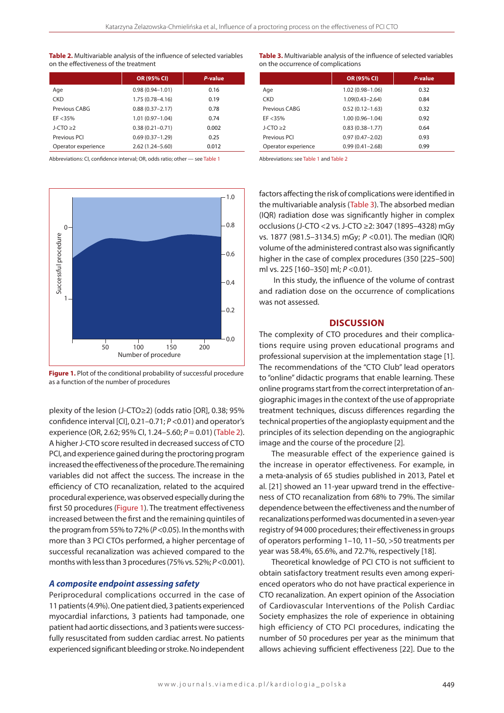**Table 2.** Multivariable analysis of the influence of selected variables on the effectiveness of the treatment

|                     | OR (95% CI)         | P-value |
|---------------------|---------------------|---------|
| Age                 | $0.98(0.94 - 1.01)$ | 0.16    |
| <b>CKD</b>          | $1.75(0.78 - 4.16)$ | 0.19    |
| Previous CABG       | $0.88(0.37 - 2.17)$ | 0.78    |
| EF < 35%            | $1.01(0.97 - 1.04)$ | 0.74    |
| $J-CTO > 2$         | $0.38(0.21 - 0.71)$ | 0.002   |
| Previous PCI        | $0.69(0.37 - 1.29)$ | 0.25    |
| Operator experience | $2.62(1.24 - 5.60)$ | 0.012   |

Abbreviations: CI, confidence interval; OR, odds ratio; other — see Table 1



**Figure 1.** Plot of the conditional probability of successful procedure as a function of the number of procedures

plexity of the lesion (J-CTO≥2) (odds ratio [OR], 0.38; 95% confidence interval [CI], 0.21–0.71; *P* <0.01) and operator's experience (OR, 2.62; 95% CI, 1.24–5.60; *P* = 0.01) (Table 2). A higher J-CTO score resulted in decreased success of CTO PCI, and experience gained during the proctoring program increased the effectiveness of the procedure. The remaining variables did not affect the success. The increase in the efficiency of CTO recanalization, related to the acquired procedural experience, was observed especially during the first 50 procedures (Figure 1). The treatment effectiveness increased between the first and the remaining quintiles of the program from 55% to 72% (*P* <0.05). In the months with more than 3 PCI CTOs performed, a higher percentage of successful recanalization was achieved compared to the months with less than 3 procedures (75% vs. 52%; *P* <0.001).

#### *A composite endpoint assessing safety*

Periprocedural complications occurred in the case of 11 patients (4.9%). One patient died, 3 patients experienced myocardial infarctions, 3 patients had tamponade, one patient had aortic dissections, and 3 patients were successfully resuscitated from sudden cardiac arrest. No patients experienced significant bleeding or stroke. No independent

**Table 3.** Multivariable analysis of the influence of selected variables on the occurrence of complications

|                     | OR (95% CI)         | P-value |
|---------------------|---------------------|---------|
| Age                 | $1.02(0.98 - 1.06)$ | 0.32    |
| <b>CKD</b>          | $1.09(0.43 - 2.64)$ | 0.84    |
| Previous CABG       | $0.52(0.12 - 1.63)$ | 0.32    |
| $EF < 35\%$         | $1.00(0.96 - 1.04)$ | 0.92    |
| $J-CTO > 2$         | $0.83(0.38 - 1.77)$ | 0.64    |
| Previous PCI        | $0.97(0.47 - 2.02)$ | 0.93    |
| Operator experience | $0.99(0.41 - 2.68)$ | 0.99    |

Abbreviations: see Table 1 and Table 2

factors affecting the risk of complications were identified in the multivariable analysis (Table 3). The absorbed median (IQR) radiation dose was significantly higher in complex occlusions (J-CTO <2 vs. J-CTO ≥2: 3047 (1895–4328) mGy vs. 1877 (981.5–3134.5) mGy; *P* <0.01). The median (IQR) volume of the administered contrast also was significantly higher in the case of complex procedures (350 [225–500] ml vs. 225 [160–350] ml; *P* <0.01).

 In this study, the influence of the volume of contrast and radiation dose on the occurrence of complications was not assessed.

#### **DISCUSSION**

The complexity of CTO procedures and their complications require using proven educational programs and professional supervision at the implementation stage [1]. The recommendations of the "CTO Club" lead operators to "online" didactic programs that enable learning. These online programs start from the correct interpretation of angiographic images in the context of the use of appropriate treatment techniques, discuss differences regarding the technical properties of the angioplasty equipment and the principles of its selection depending on the angiographic image and the course of the procedure [2].

The measurable effect of the experience gained is the increase in operator effectiveness. For example, in a meta-analysis of 65 studies published in 2013, Patel et al. [21] showed an 11-year upward trend in the effectiveness of CTO recanalization from 68% to 79%. The similar dependence between the effectiveness and the number of recanalizations performed was documented in a seven-year registry of 94 000 procedures; their effectiveness in groups of operators performing 1–10, 11–50, >50 treatments per year was 58.4%, 65.6%, and 72.7%, respectively [18].

Theoretical knowledge of PCI CTO is not sufficient to obtain satisfactory treatment results even among experienced operators who do not have practical experience in CTO recanalization. An expert opinion of the Association of Cardiovascular Interventions of the Polish Cardiac Society emphasizes the role of experience in obtaining high efficiency of CTO PCI procedures, indicating the number of 50 procedures per year as the minimum that allows achieving sufficient effectiveness [22]. Due to the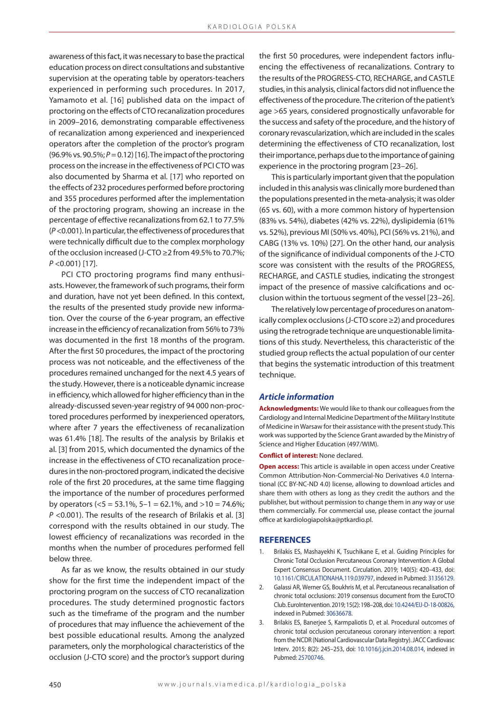awareness of this fact, it was necessary to base the practical education process on direct consultations and substantive supervision at the operating table by operators-teachers experienced in performing such procedures. In 2017, Yamamoto et al. [16] published data on the impact of proctoring on the effects of CTO recanalization procedures in 2009–2016, demonstrating comparable effectiveness of recanalization among experienced and inexperienced operators after the completion of the proctor's program (96.9% vs. 90.5%; *P* = 0.12) [16]. The impact of the proctoring process on the increase in the effectiveness of PCI CTO was also documented by Sharma et al. [17] who reported on the effects of 232 procedures performed before proctoring and 355 procedures performed after the implementation of the proctoring program, showing an increase in the percentage of effective recanalizations from 62.1 to 77.5% (*P* <0.001). In particular, the effectiveness of procedures that were technically difficult due to the complex morphology of the occlusion increased (J-CTO ≥2 from 49.5% to 70.7%; *P* <0.001) [17].

PCI CTO proctoring programs find many enthusiasts. However, the framework of such programs, their form and duration, have not yet been defined. In this context, the results of the presented study provide new information. Over the course of the 6-year program, an effective increase in the efficiency of recanalization from 56% to 73% was documented in the first 18 months of the program. After the first 50 procedures, the impact of the proctoring process was not noticeable, and the effectiveness of the procedures remained unchanged for the next 4.5 years of the study. However, there is a noticeable dynamic increase in efficiency, which allowed for higher efficiency than in the already-discussed seven-year registry of 94 000 non-proctored procedures performed by inexperienced operators, where after 7 years the effectiveness of recanalization was 61.4% [18]. The results of the analysis by Brilakis et al. [3] from 2015, which documented the dynamics of the increase in the effectiveness of CTO recanalization procedures in the non-proctored program, indicated the decisive role of the first 20 procedures, at the same time flagging the importance of the number of procedures performed by operators ( $5 = 53.1\%$ ,  $5 - 1 = 62.1\%$ , and  $> 10 = 74.6\%$ ; *P* <0.001). The results of the research of Brilakis et al. [3] correspond with the results obtained in our study. The lowest efficiency of recanalizations was recorded in the months when the number of procedures performed fell below three.

As far as we know, the results obtained in our study show for the first time the independent impact of the proctoring program on the success of CTO recanalization procedures. The study determined prognostic factors such as the timeframe of the program and the number of procedures that may influence the achievement of the best possible educational results. Among the analyzed parameters, only the morphological characteristics of the occlusion (J-CTO score) and the proctor's support during

the first 50 procedures, were independent factors influencing the effectiveness of recanalizations. Contrary to the results of the PROGRESS-CTO, RECHARGE, and CASTLE studies, in this analysis, clinical factors did not influence the effectiveness of the procedure. The criterion of the patient's age >65 years, considered prognostically unfavorable for the success and safety of the procedure, and the history of coronary revascularization, which are included in the scales determining the effectiveness of CTO recanalization, lost their importance, perhaps due to the importance of gaining experience in the proctoring program [23–26].

This is particularly important given that the population included in this analysis was clinically more burdened than the populations presented in the meta-analysis; it was older (65 vs. 60), with a more common history of hypertension (83% vs. 54%), diabetes (42% vs. 22%), dyslipidemia (61% vs. 52%), previous MI (50% vs. 40%), PCI (56% vs. 21%), and CABG (13% vs. 10%) [27]. On the other hand, our analysis of the significance of individual components of the J-CTO score was consistent with the results of the PROGRESS, RECHARGE, and CASTLE studies, indicating the strongest impact of the presence of massive calcifications and occlusion within the tortuous segment of the vessel [23–26].

The relatively low percentage of procedures on anatomically complex occlusions (J-CTO score ≥2) and procedures using the retrograde technique are unquestionable limitations of this study. Nevertheless, this characteristic of the studied group reflects the actual population of our center that begins the systematic introduction of this treatment technique.

#### *Article information*

**Acknowledgments:** We would like to thank our colleagues from the Cardiology and Internal Medicine Department of the Military Institute of Medicine in Warsaw for their assistance with the present study. This work was supported by the Science Grant awarded by the Ministry of Science and Higher Education (497/WIM).

**Conflict of interest:** None declared.

**Open access:** This article is available in open access under Creative Common Attribution-Non-Commercial-No Derivatives 4.0 International (CC BY-NC-ND 4.0) license, allowing to download articles and share them with others as long as they credit the authors and the publisher, but without permission to change them in any way or use them commercially. For commercial use, please contact the journal office at kardiologiapolska@ptkardio.pl.

#### **REFERENCES**

- 1. Brilakis ES, Mashayekhi K, Tsuchikane E, et al. Guiding Principles for Chronic Total Occlusion Percutaneous Coronary Intervention: A Global Expert Consensus Document. Circulation. 2019; 140(5): 420–433, doi: [10.1161/CIRCULATIONAHA.119.039797,](http://dx.doi.org/10.1161/CIRCULATIONAHA.119.039797) indexed in Pubmed: [31356129.](https://www.ncbi.nlm.nih.gov/pubmed/%2031356129)
- 2. Galassi AR, Werner GS, Boukhris M, et al. Percutaneous recanalisation of chronic total occlusions: 2019 consensus document from the EuroCTO Club. EuroIntervention. 2019; 15(2): 198–208, doi: [10.4244/EIJ-D-18-00826,](http://dx.doi.org/10.4244/EIJ-D-18-00826) indexed in Pubmed: [30636678](https://www.ncbi.nlm.nih.gov/pubmed/30636678).
- 3. Brilakis ES, Banerjee S, Karmpaliotis D, et al. Procedural outcomes of chronic total occlusion percutaneous coronary intervention: a report from the NCDR (National Cardiovascular Data Registry). JACC Cardiovasc Interv. 2015; 8(2): 245–253, doi: [10.1016/j.jcin.2014.08.014,](http://dx.doi.org/10.1016/j.jcin.2014.08.014) indexed in Pubmed: [25700746](https://www.ncbi.nlm.nih.gov/pubmed/25700746).